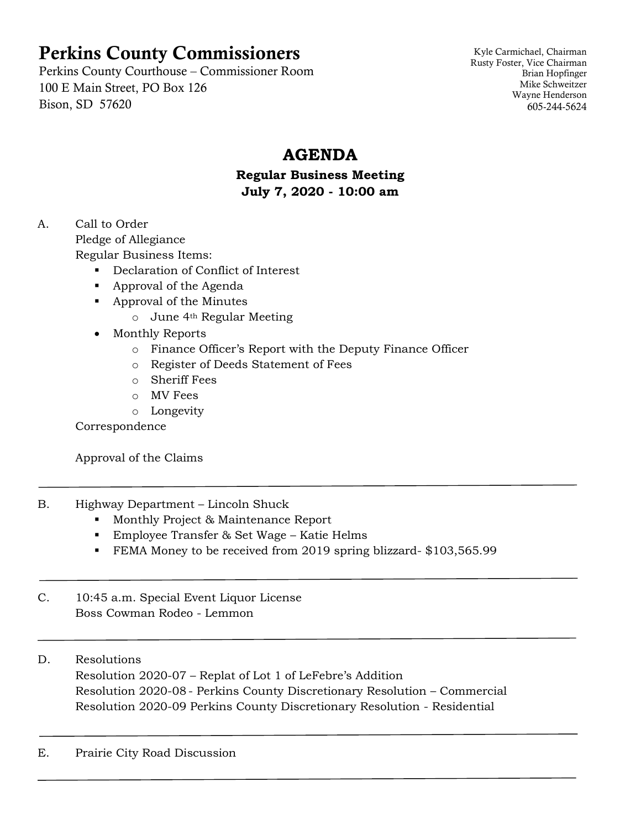# Perkins County Commissioners

Perkins County Courthouse – Commissioner Room 100 E Main Street, PO Box 126 Bison, SD 57620

Kyle Carmichael, Chairman Rusty Foster, Vice Chairman Brian Hopfinger Mike Schweitzer Wayne Henderson 605-244-5624

## **AGENDA**

#### **Regular Business Meeting July 7, 2020 - 10:00 am**

## A. Call to Order

Pledge of Allegiance

Regular Business Items:

- Declaration of Conflict of Interest
- Approval of the Agenda
- Approval of the Minutes
	- o June 4th Regular Meeting

## • Monthly Reports

- o Finance Officer's Report with the Deputy Finance Officer
- o Register of Deeds Statement of Fees
- o Sheriff Fees
- o MV Fees
- o Longevity

Correspondence

Approval of the Claims

- B. Highway Department Lincoln Shuck
	- Monthly Project & Maintenance Report
	- Employee Transfer & Set Wage Katie Helms
	- FEMA Money to be received from 2019 spring blizzard-\$103,565.99
- C. 10:45 a.m. Special Event Liquor License Boss Cowman Rodeo - Lemmon

## D. Resolutions

Resolution 2020-07 – Replat of Lot 1 of LeFebre's Addition Resolution 2020-08 - Perkins County Discretionary Resolution – Commercial Resolution 2020-09 Perkins County Discretionary Resolution - Residential

## E. Prairie City Road Discussion